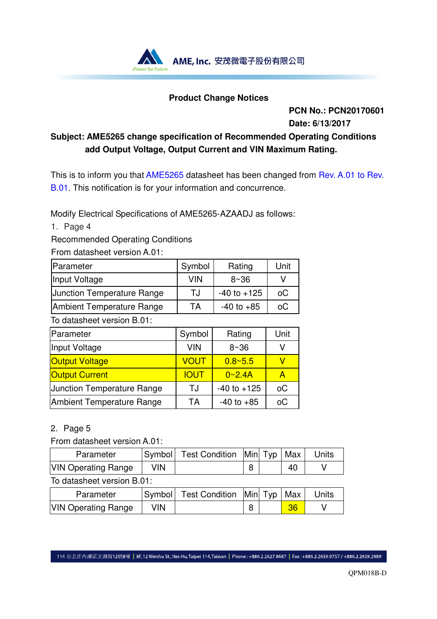

## **Product Change Notices**

**PCN No.: PCN20170601 Date: 6/13/2017** 

## **Subject: AME5265 change specification of Recommended Operating Conditions add Output Voltage, Output Current and VIN Maximum Rating.**

This is to inform you that AME5265 datasheet has been changed from Rev. A.01 to Rev. B.01. This notification is for your information and concurrence.

Modify Electrical Specifications of AME5265-AZAADJ as follows:

1. Page 4

Recommended Operating Conditions

From datasheet version A.01:

| <b>Parameter</b>                  | Symbol     | Rating          | Unit |
|-----------------------------------|------------|-----------------|------|
| Input Voltage                     | <b>VIN</b> | 8~36            |      |
| <b>Junction Temperature Range</b> | TJ         | $-40$ to $+125$ | оC   |
| Ambient Temperature Range         | TА         | $-40$ to $+85$  | оC   |

To datasheet version B.01:

| Parameter                         | Symbol      | Rating          | Unit |
|-----------------------------------|-------------|-----------------|------|
| Input Voltage                     | <b>VIN</b>  | 8~36            |      |
| <b>Output Voltage</b>             | VOUT        | $0.8 - 5.5$     |      |
| <b>Output Current</b>             | <b>IOUT</b> | 0~2.4A          | А    |
| <b>Junction Temperature Range</b> | TJ.         | $-40$ to $+125$ | оC   |
| Ambient Temperature Range         | ТA          | $-40$ to $+85$  | оC   |

## 2. Page 5

From datasheet version A.01:

| Parameter                                  |     | Symbol   Test Condition   Min   Typ   Max |  |  | Units |
|--------------------------------------------|-----|-------------------------------------------|--|--|-------|
| <b>VIN Operating Range</b>                 | VIN |                                           |  |  |       |
| $T_{\alpha}$ detected to the set of $\Box$ |     |                                           |  |  |       |

To datasheet version B.01:

| Parameter                  |     | Symbol   Test Condition   Min   Typ   Max |  |    | <b>Units</b> |
|----------------------------|-----|-------------------------------------------|--|----|--------------|
| <b>VIN Operating Range</b> | VIN |                                           |  | 36 |              |

114 台北市內湖區文湖街12號8樓 | 8F,12 Wenhu St., Nei-Hu, Taipei 114, Taiwan | Phone : +886.2.2627.8687 | Fax : +886.2.2659.9757 / +886.2.2659.2989